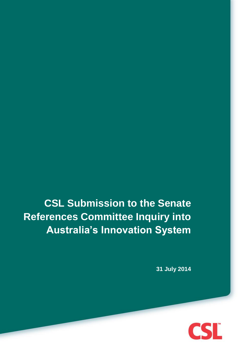**CSL Submission to the Senate References Committee Inquiry into Australia's Innovation System**

**31 July 2014**

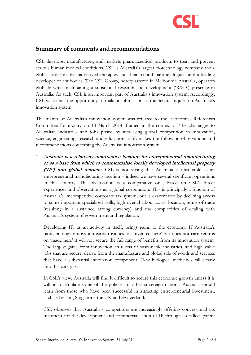

## <span id="page-1-0"></span>**Summary of comments and recommendations**

CSL develops, manufactures, and markets pharmaceutical products to treat and prevent serious human medical conditions. CSL is Australia's largest biotechnology company and a global leader in plasma-derived therapies and their recombinant analogues, and a leading developer of antibodies. The CSL Group, headquartered in Melbourne Australia, operates globally while maintaining a substantial research and development ('R&D') presence in Australia. As such, CSL is an important part of Australia's innovation system. Accordingly, CSL welcomes the opportunity to make a submission to the Senate Inquiry on Australia's innovation system.

The matter of Australia's innovation system was referred to the Economics References Committee for inquiry on 18 March 2014, framed in the context of 'the challenges to Australian industries and jobs posed by increasing global competition in innovation, science, engineering, research and education'. CSL makes the following observations and recommendations concerning the Australian innovation system.

1. **Australia is a relatively unattractive location for entrepreneurial manufacturing or as a base from which to commercialise locally developed intellectual property ('IP') into global markets**. CSL is not saying that Australia is unsuitable as an entrepreneurial manufacturing location – indeed we have several significant operations in this country. The observation is a comparative one, based on CSL's direct experiences and observations as a global corporation. This is principally a function of Australia's uncompetitive corporate tax system, but is exacerbated by declining access to some important specialised skills, high overall labour costs, location, terms of trade (resulting in a sustained strong currency) and the complexities of dealing with Australia's system of government and regulation.

Developing IP, as an activity in itself, brings gains to the economy. If Australia's biotechnology innovation earns royalties on 'invented here' but does not earn returns on 'made here' it will not secure the full range of benefits from its innovation system. The largest gains from innovation, in terms of sustainable industries, and high value jobs that are secure, derive from the manufacture and global sale of goods and services that have a substantial innovation component. New biological medicines fall clearly into this category.

In CSL's view, Australia will find it difficult to secure this economic growth unless it is willing to emulate some of the policies of other sovereign nations. Australia should learn from those who have been successful in attracting entrepreneurial investment, such as Ireland, Singapore, the UK and Switzerland.

CSL observes that Australia's competitors are increasingly offering concessional tax treatment for the development and commercialisation of IP through so called 'patent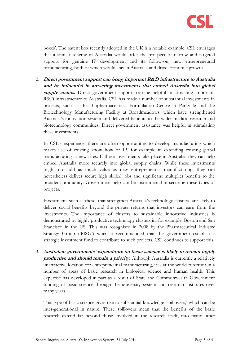

boxes'. The patent box recently adopted in the UK is a notable example. CSL envisages that a similar scheme in Australia would offer the prospect of narrow and targeted support for genuine IP development and its follow-on, new entrepreneurial manufacturing, both of which would stay in Australia and drive economic growth.

2. **Direct government support can bring important R&D infrastructure to Australia and be influential in attracting investments that embed Australia into global supply chains.** Direct government support can be helpful in attracting important R&D infrastructure to Australia. CSL has made a number of substantial investments in projects, such as the Biopharmaceutical Formulation Centre at Parkville and the Biotechnology Manufacturing Facility at Broadmeadows, which have strengthened Australia's innovation system and delivered benefits to the wider medical research and biotechnology communities. Direct government assistance was helpful in stimulating these investments.

In CSL's experience, there are often opportunities to develop manufacturing which makes use of existing know how or IP, for example in extending existing global manufacturing at new sites. If these investments take place in Australia, they can help embed Australia more securely into global supply chains. While these investments might not add as much value as new entrepreneurial manufacturing, they can nevertheless deliver secure high skilled jobs and significant multiplier benefits to the broader community. Government help can be instrumental in securing these types of projects.

Investments such as these, that strengthen Australia's technology clusters, are likely to deliver social benefits beyond the private returns that investors can earn from the investments. The importance of clusters to sustainable innovative industries is demonstrated by highly productive technology clusters in, for example, Boston and San Francisco in the US. This was recognised in 2008 by the Pharmaceutical Industry Strategy Group ('PISG') when it recommended that the government establish a strategic investment fund to contribute to such projects. CSL continues to support this.

3. **Australian governments' expenditure on basic science is likely to remain highly productive and should remain a priority.** Although Australia is currently a relatively unattractive location for entrepreneurial manufacturing, it is at the world forefront in a number of areas of basic research in biological science and human health. This expertise has developed in part as a result of State and Commonwealth Government funding of basic science through the university system and research institutes over many years.

This type of basic science gives rise to substantial knowledge 'spillovers,' which can be inter-generational in nature. These spillovers mean that the benefits of the basic research extend far beyond those involved in the research itself, into many other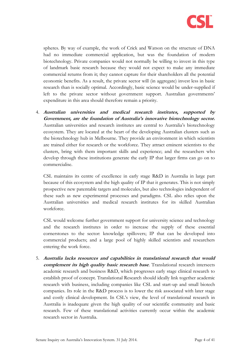

spheres. By way of example, the work of Crick and Watson on the structure of DNA had no immediate commercial application, but was the foundation of modern biotechnology. Private companies would not normally be willing to invest in this type of landmark basic research because they would not expect to make any immediate commercial returns from it; they cannot capture for their shareholders all the potential economic benefits. As a result, the private sector will (in aggregate) invest less in basic research than is socially optimal. Accordingly, basic science would be under-supplied if left to the private sector without government support. Australian governments' expenditure in this area should therefore remain a priority.

4. **Australian universities and medical research institutes, supported by Government, are the foundation of Australia's innovative biotechnology sector.**  Australian universities and research institutes are central to Australia's biotechnology ecosystem. They are located at the heart of the developing Australian clusters such as the biotechnology hub in Melbourne. They provide an environment in which scientists are trained either for research or the workforce. They attract eminent scientists to the clusters, bring with them important skills and experience; and the researchers who develop through these institutions generate the early IP that larger firms can go on to commercialise.

CSL maintains its centre of excellence in early stage R&D in Australia in large part because of this ecosystem and the high quality of IP that it generates. This is not simply prospective new patentable targets and molecules, but also technologies independent of these such as new experimental processes and paradigms. CSL also relies upon the Australian universities and medical research institutes for its skilled Australian workforce.

CSL would welcome further government support for university science and technology and the research institutes in order to increase the supply of these essential cornerstones to the sector: knowledge spillovers; IP that can be developed into commercial products; and a large pool of highly skilled scientists and researchers entering the work force.

5. **Australia lacks resources and capabilities in translational research that would complement its high quality basic research base**. Translational research intersects academic research and business R&D, which progresses early stage clinical research to establish proof of concept. Translational Research should ideally link together academic research with business, including companies like CSL and start-up and small biotech companies. Its role in the R&D process is to lower the risk associated with later stage and costly clinical development. In CSL's view, the level of translational research in Australia is inadequate given the high quality of our scientific community and basic research. Few of these translational activities currently occur within the academic research sector in Australia.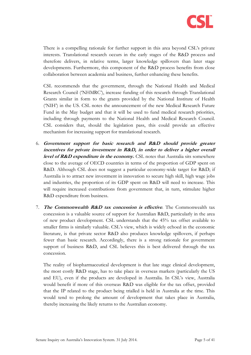

There is a compelling rationale for further support in this area beyond CSL's private interests. Translational research occurs in the early stages of the R&D process and therefore delivers, in relative terms, larger knowledge spillovers than later stage developments. Furthermore, this component of the R&D process benefits from close collaboration between academia and business, further enhancing these benefits.

CSL recommends that the government, through the National Health and Medical Research Council ('NHMRC'), increase funding of this research through Translational Grants similar in form to the grants provided by the National Institute of Health ('NIH') in the US. CSL notes the announcement of the new Medical Research Future Fund in the May budget and that it will be used to fund medical research priorities, including through payments to the National Health and Medical Research Council. CSL considers that, should the legislation pass, this could provide an effective mechanism for increasing support for translational research.

- 6. **Government support for basic research and R&D should provide greater incentives for private investment in R&D, in order to deliver a higher overall level of R&D expenditure in the economy.** CSL notes that Australia sits somewhere close to the average of OECD countries in terms of the proportion of GDP spent on R&D. Although CSL does not suggest a particular economy-wide target for R&D; if Australia is to attract new investment in innovation to secure high skill, high wage jobs and industries, the proportion of its GDP spent on R&D will need to increase. This will require increased contributions from government that, in turn, stimulate higher R&D expenditure from business.
- 7. **The Commonwealth R&D tax concession is effective**. The Commonwealth tax concession is a valuable source of support for Australian R&D, particularly in the area of new product development. CSL understands that the 45% tax offset available to smaller firms is similarly valuable. CSL's view, which is widely echoed in the economic literature, is that private sector R&D also produces knowledge spillovers, if perhaps fewer than basic research. Accordingly, there is a strong rationale for government support of business R&D, and CSL believes this is best delivered through the tax concession.

The reality of biopharmaceutical development is that late stage clinical development, the most costly R&D stage, has to take place in overseas markets (particularly the US and EU), even if the products are developed in Australia. In CSL's view, Australia would benefit if more of this overseas R&D was eligible for the tax offset, provided that the IP related to the product being trialled is held in Australia at the time. This would tend to prolong the amount of development that takes place in Australia, thereby increasing the likely returns to the Australian economy.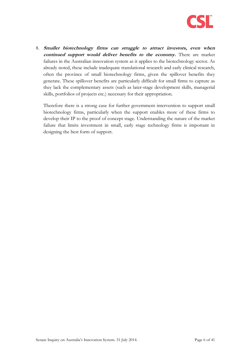

8. **Smaller biotechnology firms can struggle to attract investors, even when continued support would deliver benefits to the economy.** There are market failures in the Australian innovation system as it applies to the biotechnology sector. As already noted, these include inadequate translational research and early clinical research, often the province of small biotechnology firms, given the spillover benefits they generate. These spillover benefits are particularly difficult for small firms to capture as they lack the complementary assets (such as later-stage development skills, managerial skills, portfolios of projects etc.) necessary for their appropriation.

Therefore there is a strong case for further government intervention to support small biotechnology firms, particularly when the support enables more of these firms to develop their IP to the proof of concept stage. Understanding the nature of the market failure that limits investment in small, early stage technology firms is important in designing the best form of support.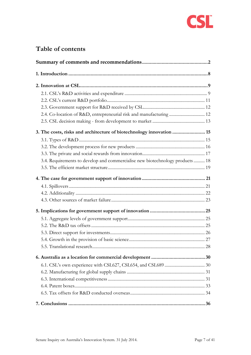

# **Table of contents**

| 2.4. Co-location of R&D, entrepreneurial risk and manufacturing  12          |  |
|------------------------------------------------------------------------------|--|
|                                                                              |  |
| 3. The costs, risks and architecture of biotechnology innovation  15         |  |
|                                                                              |  |
|                                                                              |  |
|                                                                              |  |
| 3.4. Requirements to develop and commercialise new biotechnology products 18 |  |
|                                                                              |  |
|                                                                              |  |
|                                                                              |  |
|                                                                              |  |
|                                                                              |  |
|                                                                              |  |
|                                                                              |  |
|                                                                              |  |
|                                                                              |  |
|                                                                              |  |
|                                                                              |  |
|                                                                              |  |
|                                                                              |  |
|                                                                              |  |
|                                                                              |  |
|                                                                              |  |
|                                                                              |  |
|                                                                              |  |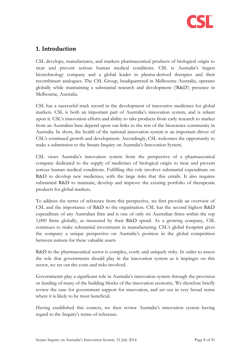

## <span id="page-7-0"></span>**1. Introduction**

CSL develops, manufactures, and markets pharmaceutical products of biological origin to treat and prevent serious human medical conditions. CSL is Australia's largest biotechnology company and a global leader in plasma-derived therapies and their recombinant analogues. The CSL Group, headquartered in Melbourne Australia, operates globally while maintaining a substantial research and development ('R&D') presence in Melbourne, Australia.

CSL has a successful track record in the development of innovative medicines for global markets. CSL is both an important part of Australia's innovation system, and is reliant upon it. CSL's innovation efforts and ability to take products from early research to market from an Australian base depend upon our links to the rest of the bioscience community in Australia. In short, the health of the national innovation system is an important driver of CSL's continued growth and development. Accordingly, CSL welcomes the opportunity to make a submission to the Senate Inquiry on Australia's Innovation System.

CSL views Australia's innovation system from the perspective of a pharmaceutical company dedicated to the supply of medicines of biological origin to treat and prevent serious human medical conditions. Fulfilling this role involves substantial expenditure on R&D to develop new medicines, with the large risks that this entails. It also requires substantial R&D to maintain, develop and improve the existing portfolio of therapeutic products for global markets.

To address the terms of reference from this perspective, we first provide an overview of CSL and the importance of R&D to the organisation. CSL has the second highest R&D expenditure of any Australian firm and is one of only six Australian firms within the top 1,000 firms globally, as measured by their R&D spend. As a growing company, CSL continues to make substantial investments in manufacturing. CSL's global footprint gives the company a unique perspective on Australia's position in the global competition between nations for these valuable assets

R&D in the pharmaceutical sector is complex, costly and uniquely risky. In order to assess the role that governments should play in the innovation system as it impinges on this sector, we set out the costs and risks involved.

Governments play a significant role in Australia's innovation system through the provision or funding of many of the building blocks of the innovation economy. We therefore briefly review the case for government support for innovation, and set out in very broad terms where it is likely to be most beneficial.

Having established this context, we then review Australia's innovation system having regard to the Inquiry's terms of reference.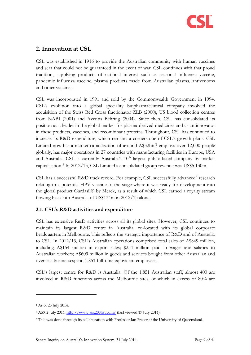

## <span id="page-8-0"></span>**2. Innovation at CSL**

CSL was established in 1916 to provide the Australian community with human vaccines and sera that could not be guaranteed in the event of war. CSL continues with that proud tradition, supplying products of national interest such as seasonal influenza vaccine, pandemic influenza vaccine, plasma products made from Australian plasma, antivenoms and other vaccines.

CSL was incorporated in 1991 and sold by the Commonwealth Government in 1994. CSL's evolution into a global speciality biopharmaceutical company involved the acquisition of the Swiss Red Cross fractionator ZLB (2000), US blood collection centres from NABI (2001) and Aventis Behring (2004). Since then, CSL has consolidated its position as a leader in the global market for plasma-derived medicines and as an innovator in these products, vaccines, and recombinant proteins. Throughout, CSL has continued to increase its R&D expenditure, which remains a cornerstone of CSL's growth plans. CSL Limited now has a market capitalisation of around A\$32bn, <sup>1</sup> employs over 12,000 people globally, has major operations in 27 countries with manufacturing facilities in Europe, USA and Australia. CSL is currently Australia's  $10<sup>th</sup>$  largest public listed company by market capitalisation.<sup>2</sup> In 2012/13, CSL Limited's consolidated group revenue was US\$5,130m.

CSL has a successful R&D track record. For example, CSL successfully advanced<sup>3</sup> research relating to a potential HPV vaccine to the stage where it was ready for development into the global product Gardasil® by Merck, as a result of which CSL earned a royalty stream flowing back into Australia of US\$134m in 2012/13 alone.

## <span id="page-8-1"></span>**2.1. CSL's R&D activities and expenditure**

CSL has extensive R&D activities across all its global sites. However, CSL continues to maintain its largest R&D centre in Australia, co-located with its global corporate headquarters in Melbourne. This reflects the strategic importance of R&D and of Australia to CSL. In 2012/13, CSL's Australian operations comprised total sales of A\$849 million, including A\$154 million in export sales; \$254 million paid in wages and salaries to Australian workers; A\$609 million in goods and services bought from other Australian and overseas businesses; and 1,851 full-time equivalent employees.

CSL's largest centre for R&D is Australia. Of the 1,851 Australian staff, almost 400 are involved in R&D functions across the Melbourne sites, of which in excess of 80% are

<sup>1</sup> As of 23 July 2014.

<sup>&</sup>lt;sup>2</sup> ASX 2 July 2014.<http://www.asx200list.com/> (last viewed 17 July 2014).

<sup>3</sup> This was done through its collaboration with Professor Ian Fraser at the University of Queensland.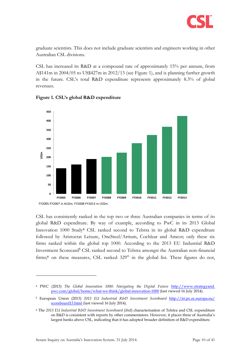

graduate scientists. This does not include graduate scientists and engineers working in other Australian CSL divisions.

CSL has increased its R&D at a compound rate of approximately 15% per annum, from A\$141m in 2004/05 to US\$427m in 2012/13 (see [Figure 1\)](#page-9-0), and is planning further growth in the future. CSL's total R&D expenditure represents approximately 8.3% of global revenues.



<span id="page-9-0"></span>**Figure 1. CSL's global R&D expenditure**

CSL has consistently ranked in the top two or three Australian companies in terms of its global R&D expenditure. By way of example, according to PwC in its 2013 Global Innovation 1000 Study<sup>4</sup> CSL ranked second to Telstra in its global R&D expenditure followed by Aristocrat Leisure, OneSteel/Arrium, Cochlear and Amcor; only these six firms ranked within the global top 1000. According to the 2013 EU Industrial R&D Investment Scorecard<sup>5</sup> CSL ranked second to Telstra amongst the Australian non-financial firms;<sup>6</sup> on these measures, CSL ranked  $329<sup>th</sup>$  in the global list. These figures do not,

<sup>4</sup> PWC (2013) *The Global Innovation 1000: Navigating the Digital Future* http://www.strategyand. pwc.com/global/home/what-we-think/global-innovation-1000 (last viewed 16 July 2014).

<sup>5</sup> European Union (2013) *2013 EU Industrial R&D Investment Scoreboard* [http://iri.jrc.ec.europa.eu/](http://iri.jrc.ec.europa.eu/%20scoreboard13.html)  [scoreboard13.html](http://iri.jrc.ec.europa.eu/%20scoreboard13.html) (last viewed 16 July 2014).

<sup>6</sup> The *2013 EU Industrial R&D Investment Scoreboard* (*ibid*) characterisation of Telstra and CSL expenditure on R&D is consistent with reports by other commentators. However, it places three of Australia's largest banks above CSL, indicating that it has adopted broader definition of R&D expenditure.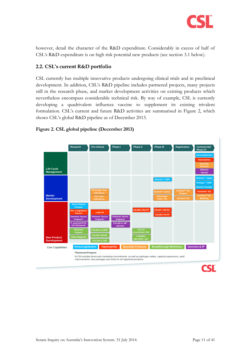

however, detail the character of the R&D expenditure. Considerably in excess of half of CSL's R&D expenditure is on high risk potential new products (see section [3.1](#page-14-1) below).

## <span id="page-10-0"></span>**2.2. CSL's current R&D portfolio**

CSL currently has multiple innovative products undergoing clinical trials and in preclinical development. In addition, CSL's R&D pipeline includes partnered projects, many projects still in the research phase, and market development activities on existing products which nevertheless encompass considerable technical risk. By way of example, CSL is currently developing a quadrivalent influenza vaccine to supplement its existing trivalent formulation. CSL's current and future R&D activities are summarised in [Figure 2,](#page-10-1) which shows CSL's global R&D pipeline as of December 2013.



#### <span id="page-10-1"></span>**Figure 2. CSL global pipeline (December 2013)**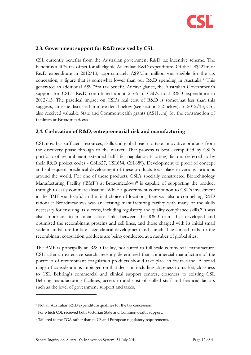

## <span id="page-11-0"></span>**2.3. Government support for R&D received by CSL**

CSL currently benefits from the Australian government R&D tax incentive scheme. The benefit is a 40% tax offset for all eligible Australian R&D expenditure. Of the US\$427m of R&D expenditure in 2012/13, approximately A\$97.5m million was eligible for the tax concession, a figure that is somewhat lower than our R&D spending in Australia.<sup>7</sup> This generated an additional A\$9.75m tax benefit. At first glance, the Australian Government's support for CSL's R&D contributed about 2.3% of CSL's total R&D expenditure in 2012/13. The practical impact on CSL's real cost of R&D is somewhat less than this suggests, an issue discussed in more detail below (see section [5.2 below\)](#page-24-2). In 2012/13, CSL also received valuable State and Commonwealth grants (A\$11.1m) for the construction of facilities at Broadmeadows.

#### <span id="page-11-1"></span>**2.4. Co-location of R&D, entrepreneurial risk and manufacturing**

CSL now has sufficient resources, skills and global reach to take innovative products from the discovery phase through to the market. That process is best exemplified by CSL's portfolio of recombinant extended half-life coagulation (clotting) factors (referred to by their R&D project codes - CSL627, CSL654, CSL689). Development to proof of concept and subsequent preclinical development of these products took place in various locations around the world. For one of these products, CSL's specially constructed Biotechnology Manufacturing Facility ('BMF') at Broadmeadows<sup>8</sup> is capable of supporting the product through to early commercialisation. While a government contribution to CSL's investment in the BMF was helpful in the final choice of location, there was also a compelling R&D rationale: Broadmeadows was an existing manufacturing facility with many of the skills necessary for ensuring its success, including regulatory and quality compliance skills. <sup>9</sup> It was also important to maintain close links between the R&D team that developed and optimised the recombinant proteins and cell lines, and those charged with its initial small scale manufacture for late stage clinical development and launch. The clinical trials for the recombinant coagulation products are being conducted at a number of global sites.

The BMF is principally an R&D facility, not suited to full scale commercial manufacture. CSL, after an extensive search, recently determined that commercial manufacture of the portfolio of recombinant coagulation products should take place in Switzerland. A broad range of considerations impinged on that decision including closeness to market, closeness to CSL Behring's commercial and clinical support centres, closeness to existing CSL Behring manufacturing facilities, access to and cost of skilled staff and financial factors such as the level of government support and taxes.

<sup>7</sup> Not all Australian R&D expenditure qualifies for the tax concession.

<sup>8</sup> For which CSL received both Victorian State and Commonwealth support.

<sup>9</sup> Tailored to the TGA rather than to US and European regulatory requirements.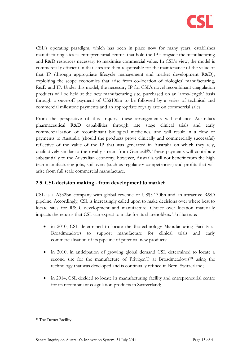

CSL's operating paradigm, which has been in place now for many years, establishes manufacturing sites as entrepreneurial centres that hold the IP alongside the manufacturing and R&D resources necessary to maximise commercial value. In CSL's view, the model is commercially efficient in that sites are then responsible for the maintenance of the value of that IP (through appropriate lifecycle management and market development R&D), exploiting the scope economies that arise from co-location of biological manufacturing, R&D and IP. Under this model, the necessary IP for CSL's novel recombinant coagulation products will be held at the new manufacturing site, purchased on an 'arms-length' basis through a once-off payment of US\$100m to be followed by a series of technical and commercial milestone payments and an appropriate royalty rate on commercial sales.

From the perspective of this Inquiry, these arrangements will enhance Australia's pharmaceutical R&D capabilities through late stage clinical trials and early commercialisation of recombinant biological medicines, and will result in a flow of payments to Australia (should the products prove clinically and commercially successful) reflective of the value of the IP that was generated in Australia on which they rely, qualitatively similar to the royalty stream from Gardasil®. These payments will contribute substantially to the Australian economy, however, Australia will not benefit from the high tech manufacturing jobs, spillovers (such as regulatory competencies) and profits that will arise from full scale commercial manufacture.

#### <span id="page-12-0"></span>**2.5. CSL decision making - from development to market**

CSL is a A\$32bn company with global revenue of US\$5.130bn and an attractive R&D pipeline. Accordingly, CSL is increasingly called upon to make decisions over where best to locate sites for R&D, development and manufacture. Choice over location materially impacts the returns that CSL can expect to make for its shareholders. To illustrate:

- in 2010, CSL determined to locate the Biotechnology Manufacturing Facility at Broadmeadows to support manufacture for clinical trials and early commercialisation of its pipeline of potential new products;
- in 2010, in anticipation of growing global demand CSL determined to locate a second site for the manufacture of Privigen® at Broadmeadows<sup>10</sup> using the technology that was developed and is continually refined in Bern, Switzerland;
- in 2014, CSL decided to locate its manufacturing facility and entrepreneurial centre for its recombinant coagulation products in Switzerland;

<sup>10</sup> The Turner Facility.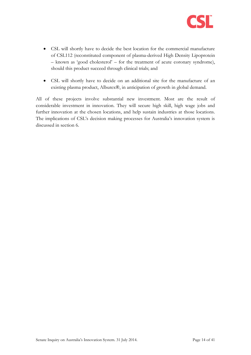

- CSL will shortly have to decide the best location for the commercial manufacture of CSL112 (reconstituted component of plasma-derived High Density Lipoprotein – known as 'good cholesterol' – for the treatment of acute coronary syndrome), should this product succeed through clinical trials; and
- CSL will shortly have to decide on an additional site for the manufacture of an existing plasma product, Alburex®, in anticipation of growth in global demand.

All of these projects involve substantial new investment. Most are the result of considerable investment in innovation. They will secure high skill, high wage jobs and further innovation at the chosen locations, and help sustain industries at those locations. The implications of CSL's decision making processes for Australia's innovation system is discussed in section 6.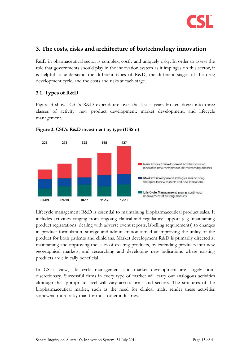

## <span id="page-14-0"></span>**3. The costs, risks and architecture of biotechnology innovation**

R&D in pharmaceutical sector is complex, costly and uniquely risky. In order to assess the role that governments should play in the innovation system as it impinges on this sector, it is helpful to understand the different types of R&D, the different stages of the drug development cycle, and the costs and risks at each stage.

#### <span id="page-14-1"></span>**3.1. Types of R&D**

[Figure 3](#page-14-2) shows CSL's R&D expenditure over the last 5 years broken down into three classes of activity: new product development; market development; and lifecycle management.



<span id="page-14-2"></span>

Lifecycle management R&D is essential to maintaining biopharmaceutical product sales. It includes activities ranging from ongoing clinical and regulatory support (e.g. maintaining product registrations, dealing with adverse event reports, labelling requirements) to changes in product formulation, storage and administration aimed at improving the utility of the product for both patients and clinicians. Market development R&D is primarily directed at maintaining and improving the sales of existing products, by extending products into new geographical markets, and researching and developing new indications where existing products are clinically beneficial.

In CSL's view, life cycle management and market development are largely nondiscretionary. Successful firms in every type of market will carry out analogous activities although the appropriate level will vary across firms and sectors. The strictures of the biopharmaceutical market, such as the need for clinical trials, render these activities somewhat more risky than for most other industries.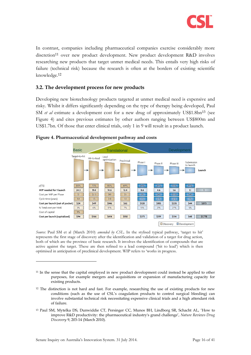

In contrast, companies including pharmaceutical companies exercise considerably more discretion<sup>11</sup> over new product development. New product development R&D involves researching new products that target unmet medical needs. This entails very high risks of failure (technical risk) because the research is often at the borders of existing scientific knowledge.<sup>12</sup>

### <span id="page-15-0"></span>**3.2. The development process for new products**

Developing new biotechnology products targeted at unmet medical need is expensive and risky. Whilst it differs significantly depending on the type of therapy being developed, Paul SM *et al* estimate a development cost for a new drug of approximately US\$1.8bn<sup>13</sup> (see [Figure 4\)](#page-15-1) and cites previous estimates by other authors ranging between US\$800m and US\$1.7bn. Of those that enter clinical trials, only 1 in 9 will result in a product launch.



#### <span id="page-15-1"></span>**Figure 4. Pharmaceutical development pathway and costs**

*Source:* Paul SM et al (March 2010) *amended by CSL*. In the stylised typical pathway, 'target to hit' represents the first stage of discovery after the identification and validation of a target for drug action, both of which are the province of basic research. It involves the identification of compounds that are active against the target. These are then refined to a lead compound ('hit to lead') which is then optimised in anticipation of preclinical development. WIP refers to 'works in progress.

- <sup>11</sup> In the sense that the capital employed in new product development could instead be applied to other purposes, for example mergers and acquisitions or expansion of manufacturing capacity for existing products.
- $12$  The distinction is not hard and fast. For example, researching the use of existing products for new conditions (such as the use of CSL's coagulation products to control surgical bleeding) can involve substantial technical risk necessitating expensive clinical trials and a high attendant risk of failure.
- <sup>13</sup> Paul SM, Mytelka DS, Dunwiddie CT, Persinger CC, Munos BH, Lindborg SR, Schacht AL, 'How to improve R&D productivity: the pharmaceutical industry's grand challenge', *Nature Reviews Drug Discovery* 9, 203-14 (March 2010).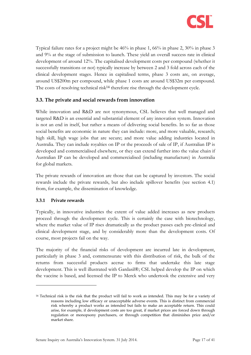

Typical failure rates for a project might be 46% in phase 1, 66% in phase 2, 30% in phase 3 and 9% at the stage of submission to launch. These yield an overall success rate in clinical development of around 12%. The capitalised development costs per compound (whether it successfully transitions or not) typically increase by between 2 and 3 fold across each of the clinical development stages. Hence in capitalised terms, phase 3 costs are, on average, around US\$200m per compound, while phase 1 costs are around US\$32m per compound. The costs of resolving technical risk<sup>14</sup> therefore rise through the development cycle.

## <span id="page-16-0"></span>**3.3. The private and social rewards from innovation**

While innovation and R&D are not synonymous, CSL believes that well managed and targeted R&D is an essential and substantial element of any innovation system. Innovation is not an end in itself, but rather a means of delivering social benefits. In so far as those social benefits are economic in nature they can include: more, and more valuable, research; high skill, high wage jobs that are secure; and more value adding industries located in Australia. They can include royalties on IP or the proceeds of sale of IP, if Australian IP is developed and commercialised elsewhere, or they can extend further into the value chain if Australian IP can be developed and commercialised (including manufacture) in Australia for global markets.

The private rewards of innovation are those that can be captured by investors. The social rewards include the private rewards, but also include spillover benefits (see section [4.1\)](#page-20-1) from, for example, the dissemination of knowledge.

#### **3.3.1 Private rewards**

-

Typically, in innovative industries the extent of value added increases as new products proceed through the development cycle. This is certainly the case with biotechnology, where the market value of IP rises dramatically as the product passes each pre-clinical and clinical development stage, and by considerably more than the development costs. Of course, most projects fail on the way.

The majority of the financial risks of development are incurred late in development, particularly in phase 3 and, commensurate with this distribution of risk, the bulk of the returns from successful products accrue to firms that undertake this late stage development. This is well illustrated with Gardasil®; CSL helped develop the IP on which the vaccine is based, and licensed the IP to Merck who undertook the extensive and very

<sup>14</sup> Technical risk is the risk that the product will fail to work as intended. This may be for a variety of reasons including low efficacy or unacceptable adverse events. This is distinct from commercial risk whereby a product works as intended but fails to make an acceptable return. This could arise, for example, if development costs are too great, if market prices are forced down through regulation or monopsony purchasers, or through competition that diminishes price and/or market share.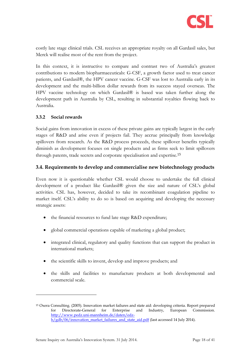

costly late stage clinical trials. CSL receives an appropriate royalty on all Gardasil sales, but Merck will realise most of the rent from the project.

In this context, it is instructive to compare and contrast two of Australia's greatest contributions to modern biopharmaceuticals: G-CSF, a growth factor used to treat cancer patients, and Gardasil®, the HPV cancer vaccine. G-CSF was lost to Australia early in its development and the multi-billion dollar rewards from its success stayed overseas. The HPV vaccine technology on which Gardasil® is based was taken further along the development path in Australia by CSL, resulting in substantial royalties flowing back to Australia.

#### **3.3.2 Social rewards**

-

Social gains from innovation in excess of these private gains are typically largest in the early stages of R&D and arise even if projects fail. They accrue principally from knowledge spillovers from research. As the R&D process proceeds, these spillover benefits typically diminish as development focuses on single products and as firms seek to limit spillovers through patents, trade secrets and corporate specialisation and expertise.<sup>15</sup>

#### <span id="page-17-0"></span>**3.4. Requirements to develop and commercialise new biotechnology products**

Even now it is questionable whether CSL would choose to undertake the full clinical development of a product like Gardasil® given the size and nature of CSL's global activities. CSL has, however, decided to take its recombinant coagulation pipeline to market itself. CSL's ability to do so is based on acquiring and developing the necessary strategic assets:

- the financial resources to fund late stage R&D expenditure;
- global commercial operations capable of marketing a global product;
- integrated clinical, regulatory and quality functions that can support the product in international markets;
- the scientific skills to invent, develop and improve products; and
- the skills and facilities to manufacture products at both developmental and commercial scale.

<sup>15</sup> Oxera Consulting. (2005). Innovation market failures and state aid: developing criteria. Report prepared for Directorate-General for Enterprise and Industry, European Commission. [http://www.pedz.uni-mannheim.de/daten/edz](http://www.pedz.uni-mannheim.de/daten/edz-h/gdb/06/innovation_market_failures_and_state_aid.pdf)[h/gdb/06/innovation\\_market\\_failures\\_and\\_state\\_aid.pdf](http://www.pedz.uni-mannheim.de/daten/edz-h/gdb/06/innovation_market_failures_and_state_aid.pdf) (last accessed 14 July 2014).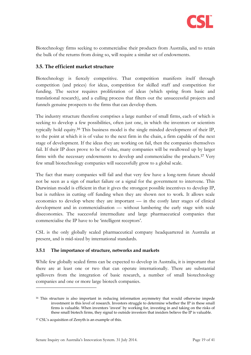

Biotechnology firms seeking to commercialise their products from Australia, and to retain the bulk of the returns from doing so, will require a similar set of endowments.

### <span id="page-18-0"></span>**3.5. The efficient market structure**

Biotechnology is fiercely competitive. That competition manifests itself through competition (and prices) for ideas, competition for skilled staff and competition for funding. The sector requires proliferation of ideas (which spring from basic and translational research), and a culling process that filters out the unsuccessful projects and funnels genuine prospects to the firms that can develop them.

The industry structure therefore comprises a large number of small firms, each of which is seeking to develop a few possibilities, often just one, in which the inventors or scientists typically hold equity. <sup>16</sup> This business model is the single minded development of their IP, to the point at which it is of value to the next firm in the chain, a firm capable of the next stage of development. If the ideas they are working on fail, then the companies themselves fail. If their IP does prove to be of value, many companies will be swallowed up by larger firms with the necessary endowments to develop and commercialise the products.<sup>17</sup> Very few small biotechnology companies will successfully grow to a global scale.

The fact that many companies will fail and that very few have a long-term future should not be seen as a sign of market failure or a signal for the government to intervene. This Darwinian model is efficient in that it gives the strongest possible incentives to develop IP, but is ruthless in cutting off funding when they are shown not to work. It allows scale economies to develop where they are important — in the costly later stages of clinical development and in commercialisation — without lumbering the early stage with scale diseconomies. The successful intermediate and large pharmaceutical companies that commercialise the IP have to be 'intelligent receptors'.

CSL is the only globally scaled pharmaceutical company headquartered in Australia at present, and is mid-sized by international standards.

#### <span id="page-18-1"></span>**3.5.1 The importance of structure, networks and markets**

While few globally scaled firms can be expected to develop in Australia, it is important that there are at least one or two that can operate internationally. There are substantial spillovers from the integration of basic research, a number of small biotechnology companies and one or more large biotech companies.

<sup>&</sup>lt;sup>16</sup> This structure is also important in reducing information asymmetry that would otherwise impede investment in this level of research. Investors struggle to determine whether the IP in these small firms is valuable. When inventors 'invest' by working for, investing in and taking on the risks of these small biotech firms, they signal to outside investors that insiders believe the IP is valuable.

<sup>17</sup> CSL's acquisition of Zenyth is an example of this.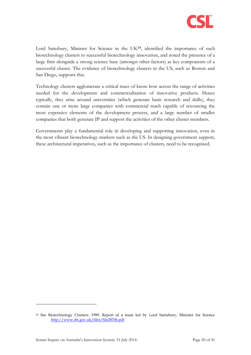

Lord Sainsbury, Minister for Science in the UK<sup>18</sup>, identified the importance of such biotechnology clusters to successful biotechnology innovation, and noted the presence of a large firm alongside a strong science base (amongst other factors) as key components of a successful cluster. The evidence of biotechnology clusters in the US, such as Boston and San Diego, supports this.

Technology clusters agglomerate a critical mass of know how across the range of activities needed for the development and commercialisation of innovative products. Hence typically, they arise around universities (which generate basic research and skills), they contain one or more large companies with commercial reach capable of resourcing the most expensive elements of the development process, and a large number of smaller companies that both generate IP and support the activities of the other cluster members.

Governments play a fundamental role in developing and supporting innovation, even in the most vibrant biotechnology markets such as the US. In designing government support, these architectural imperatives, such as the importance of clusters, need to be recognised.

<sup>18</sup> See Biotechnology Clusters. 1999. Report of a team led by Lord Sainsbury, Minister for Science <http://www.dti.gov.uk/files/file28706.pdf>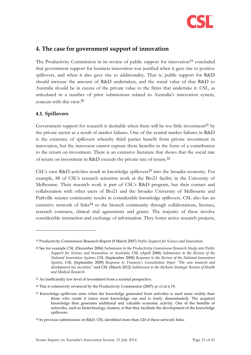<span id="page-20-2"></span>

## <span id="page-20-0"></span>**4. The case for government support of innovation**

The Productivity Commission in its review of public support for innovation<sup>19</sup> concluded that government support for business innovation was justified when it gave rise to positive spillovers, and when it also gave rise to additionality. That is, public support for R&D should increase the amount of R&D undertaken, and the social value of that R&D to Australia should be in excess of the private value to the firms that undertake it. CSL, as articulated in a number of prior submissions related to Australia's innovation system, concurs with this view.<sup>20</sup>

## <span id="page-20-1"></span>**4.1. Spillovers**

-

Government support for research is desirable when there will be too little investment<sup>21</sup> by the private sector as a result of market failures. One of the central market failures in R&D is the existence of spillovers whereby third parties benefit from private investment in innovation, but the innovator cannot capture these benefits in the form of a contribution to the return on investment. There is an extensive literature that shows that the social rate of return on investment in R&D exceeds the private rate of return.<sup>22</sup>

CSL's own R&D activities result in knowledge spillovers<sup>23</sup> into the broader economy. For example, 88 of CSL's research scientists work at the Bio21 facility in the University of Melbourne. Their research work is part of CSL's R&D program, but their contact and collaboration with other users of Bio21 and the broader University of Melbourne and Parkville science community results in considerable knowledge spillovers. CSL also has an extensive network of links<sup>24</sup> to the biotech community through collaborations, licenses, research contracts, clinical trial agreements and grants. The majority of these involve considerable interaction and exchange of information. They foster active research projects,

<sup>19</sup> Productivity Commission Research Report (9 March 2007) *Public Support for Science and Innovation*.

<sup>20</sup> See for example CSL (December 2006) *Submission to the Productivity Commission Research Study into Public Support for Science and Innovation in Australia*; CSL (April 2008) *Submission to the Review of the National Innovation System*; CSL (September 2008) *Response to the Review of the National Innovation System*, CSL (September 2009) *Response to Treasury's Consultation Paper "The new research and development tax incentive"* and CSL (March 2012) *Submission to the McKeon Strategic Review of Health and Medical Research*.

<sup>21</sup> An inefficiently low level of investment from a societal perspective.

<sup>22</sup> This is extensively reviewed by the Productivity Commission (2007) *op cit* at [n 19.](#page-20-2)

<sup>&</sup>lt;sup>23</sup> Knowledge spillovers arise when the knowledge generated from activities is used more widely than those who create it (since most knowledge can and is freely disseminated). The acquired knowledge then generates additional and valuable economic activity. One of the benefits of networks, such as biotechnology clusters, is that they facilitate the development of the knowledge spillovers.

<sup>24</sup> In previous submissions on R&D, CSL identified more than 120 of these network links.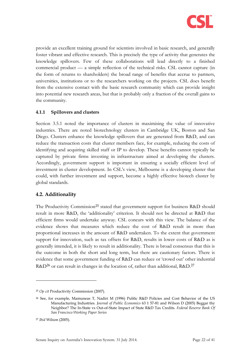

provide an excellent training ground for scientists involved in basic research, and generally foster vibrant and effective research. This is precisely the type of activity that generates the knowledge spillovers. Few of these collaborations will lead directly to a finished commercial product — a simple reflection of the technical risks. CSL cannot capture (in the form of returns to shareholders) the broad range of benefits that accrue to partners, universities, institutions or to the researchers working on the projects. CSL does benefit from the extensive contact with the basic research community which can provide insight into potential new research areas, but that is probably only a fraction of the overall gains to the community.

#### **4.1.1 Spillovers and clusters**

Section [3.5.1](#page-18-1) noted the importance of clusters in maximising the value of innovative industries. There are noted biotechnology clusters in Cambridge UK, Boston and San Diego. Clusters enhance the knowledge spillovers that are generated from R&D, and can reduce the transaction costs that cluster members face, for example, reducing the costs of identifying and acquiring skilled staff or IP to develop. These benefits cannot typically be captured by private firms investing in infrastructure aimed at developing the clusters. Accordingly, government support is important in ensuring a socially efficient level of investment in cluster development. In CSL's view, Melbourne is a developing cluster that could, with further investment and support, become a highly effective biotech cluster by global standards.

#### <span id="page-21-0"></span>**4.2. Additionality**

The Productivity Commission<sup>25</sup> stated that government support for business R&D should result in more R&D, the 'additionality' criterion. It should not be directed at R&D that efficient firms would undertake anyway. CSL concurs with this view. The balance of the evidence shows that measures which reduce the cost of R&D result in more than proportional increases in the amount of R&D undertaken. To the extent that government support for innovation, such as tax offsets for R&D, results in lower costs of R&D as is generally intended, it is likely to result in additionality. There is broad consensus that this is the outcome in both the short and long term, but there are cautionary factors. There is evidence that some government funding of R&D can reduce or 'crowd out' other industrial R&D<sup>26</sup> or can result in changes in the location of, rather than additional, R&D.<sup>27</sup>

<sup>25</sup> *Op cit* Productivity Commission (2007).

<sup>26</sup> See, for example, Mamuneas T, Nadiri M (1996) Public R&D Policies and Cost Behavior of the US Manufacturing Industries. *Journal of Public Economics* 63 1 57-81 and Wilson D (2005) Beggar thy Neighbor? The In-State vs Out-of-State Impact of State R&D Tax Credits. *Federal Reserve Bank Of San Francisco Working Paper Series*

<sup>27</sup> *Ibid* Wilson (2005).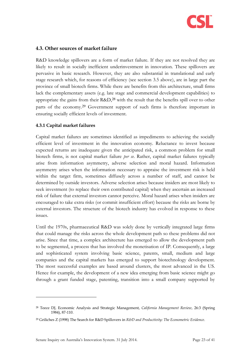

#### <span id="page-22-0"></span>**4.3. Other sources of market failure**

R&D knowledge spillovers are a form of market failure. If they are not resolved they are likely to result in socially inefficient underinvestment in innovation. These spillovers are pervasive in basic research. However, they are also substantial in translational and early stage research which, for reasons of efficiency (see section [3.5 above\)](#page-18-0), are in large part the province of small biotech firms. While there are benefits from this architecture, small firms lack the complementary assets (e.g. late stage and commercial development capabilities) to appropriate the gains from their  $R&D,^{28}$  with the result that the benefits spill over to other parts of the economy.<sup>29</sup> Government support of such firms is therefore important in ensuring socially efficient levels of investment.

#### **4.3.1 Capital market failures**

Capital market failures are sometimes identified as impediments to achieving the socially efficient level of investment in the innovation economy. Reluctance to invest because expected returns are inadequate given the anticipated risk, a common problem for small biotech firms, is not capital market failure *per se*. Rather, capital market failures typically arise from information asymmetry, adverse selection and moral hazard. Information asymmetry arises when the information necessary to appraise the investment risk is held within the target firm, sometimes diffusely across a number of staff, and cannot be determined by outside investors. Adverse selection arises because insiders are most likely to seek investment (to replace their own contributed capital) when they ascertain an increased risk of failure that external investors cannot perceive. Moral hazard arises when insiders are encouraged to take extra risks (or commit insufficient effort) because the risks are borne by external investors. The structure of the biotech industry has evolved in response to these issues.

Until the 1970s, pharmaceutical R&D was solely done by vertically integrated large firms that could manage the risks across the whole development path so these problems did not arise. Since that time, a complex architecture has emerged to allow the development path to be segmented, a process that has involved the monetisation of IP. Consequently, a large and sophisticated system involving basic science, patents, small, medium and large companies and the capital markets has emerged to support biotechnology development. The most successful examples are based around clusters, the most advanced in the US. Hence for example, the development of a new idea emerging from basic science might go through a grant funded stage, patenting, transition into a small company supported by

<sup>28</sup> Teece DJ, Economic Analysis and Strategic Management, *California Management Review*, 26:3 (Spring 1984), 87-110.

<sup>29</sup> Griliches Z (1998) The Search for R&D Spillovers in *R&D and Productivity: The Econometric Evidence*.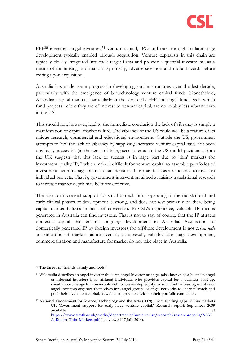

FFF<sup>30</sup> investors, angel investors,<sup>31</sup> venture capital, IPO and then through to later stage development typically enabled through acquisition. Venture capitalists in this chain are typically closely integrated into their target firms and provide sequential investments as a means of minimising information asymmetry, adverse selection and moral hazard, before exiting upon acquisition.

Australia has made some progress in developing similar structures over the last decade, particularly with the emergence of biotechnology venture capital funds. Nonetheless, Australian capital markets, particularly at the very early FFF and angel fund levels which fund projects before they are of interest to venture capital, are noticeably less vibrant than in the US.

This should not, however, lead to the immediate conclusion the lack of vibrancy is simply a manifestation of capital market failure. The vibrancy of the US could well be a feature of its unique research, commercial and educational environment. Outside the US, government attempts to 'fix' the lack of vibrancy by supplying increased venture capital have not been obviously successful (in the sense of being seen to emulate the US model); evidence from the UK suggests that this lack of success is in large part due to 'thin' markets for investment quality IP,<sup>32</sup> which make it difficult for venture capital to assemble portfolios of investments with manageable risk characteristics. This manifests as a reluctance to invest in individual projects. That is, government intervention aimed at raising translational research to increase market depth may be more effective.

The case for increased support for small biotech firms operating in the translational and early clinical phases of development is strong, and does not rest primarily on there being capital market failures in need of correction. In CSL's experience, valuable IP that is generated in Australia can find investors. That is not to say, of course, that the IP attracts domestic capital that ensures ongoing development in Australia. Acquisition of domestically generated IP by foreign investors for offshore development is not *prima facie* an indication of market failure even if, as a result, valuable late stage development, commercialisation and manufacture for market do not take place in Australia.

<sup>30</sup> The three Fs, "friends, family and fools"

<sup>31</sup> Wikipedia describes an angel investor thus: An angel Investor or angel (also known as a business angel or informal investor) is an affluent individual who provides capital for a business start-up, usually in exchange for convertible debt or ownership equity. A small but increasing number of angel investors organize themselves into angel groups or angel networks to share research and pool their investment capital, as well as to provide advice to their portfolio companies.

<sup>32</sup> National Endowment for Science, Technology and the Arts (2009) 'From funding gaps to thin markets UK Government support for early-stage venture capital,' Research report: September 2009 available at the state of the state of the state of the state of the state of the state of the state of the st [https://www.strath.ac.uk/media/departments/huntercentre/research/researchreports/NEST](https://www.strath.ac.uk/media/departments/huntercentre/research/researchreports/NESTA_Report_Thin_Markets.pdf)

[A\\_Report\\_Thin\\_Markets.pdf](https://www.strath.ac.uk/media/departments/huntercentre/research/researchreports/NESTA_Report_Thin_Markets.pdf) (last viewed 17 July 2014).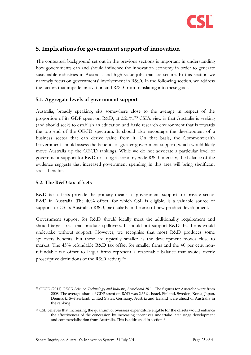

## <span id="page-24-0"></span>**5. Implications for government support of innovation**

The contextual background set out in the previous sections is important in understanding how governments can and should influence the innovation economy in order to generate sustainable industries in Australia and high value jobs that are secure. In this section we narrowly focus on governments' involvement in R&D. In the following section, we address the factors that impede innovation and R&D from translating into these goals.

#### <span id="page-24-1"></span>**5.1. Aggregate levels of government support**

Australia, broadly speaking, sits somewhere close to the average in respect of the proportion of its GDP spent on R&D, at 2.21%.<sup>33</sup> CSL's view is that Australia is seeking (and should seek) to establish an education and basic research environment that is towards the top end of the OECD spectrum. It should also encourage the development of a business sector that can derive value from it. On that basis, the Commonwealth Government should assess the benefits of greater government support, which would likely move Australia up the OECD rankings. While we do not advocate a particular level of government support for R&D or a target economy wide R&D intensity, the balance of the evidence suggests that increased government spending in this area will bring significant social benefits.

#### <span id="page-24-2"></span>**5.2. The R&D tax offsets**

-

R&D tax offsets provide the primary means of government support for private sector R&D in Australia. The 40% offset, for which CSL is eligible, is a valuable source of support for CSL's Australian R&D, particularly in the area of new product development.

Government support for R&D should ideally meet the additionality requirement and should target areas that produce spillovers. It should not support R&D that firms would undertake without support. However, we recognise that most R&D produces some spillovers benefits, but these are typically smaller as the development moves close to market. The 45% refundable R&D tax offset for smaller firms and the 40 per cent nonrefundable tax offset to larger firms represent a reasonable balance that avoids overly proscriptive definitions of the R&D activity.<sup>34</sup>

<sup>33</sup> OECD (2011) *OECD Science, Technology and Industry Scoreboard 2011*. The figures for Australia were from 2008. The average share of GDP spent on R&D was 2.33%. Israel, Finland, Sweden, Korea, Japan, Denmark, Switzerland, United States, Germany, Austria and Iceland were ahead of Australia in the ranking.

<sup>&</sup>lt;sup>34</sup> CSL believes that increasing the quantum of overseas expenditure eligible for the offsets would enhance the effectiveness of the concession by increasing incentives undertake later stage development and commercialisation from Australia. This is addressed in section [6.](#page-29-0)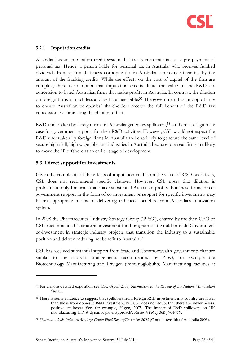

#### **5.2.1 Imputation credits**

Australia has an imputation credit system that treats corporate tax as a pre-payment of personal tax. Hence, a person liable for personal tax in Australia who receives franked dividends from a firm that pays corporate tax in Australia can reduce their tax by the amount of the franking credits. While the effects on the cost of capital of the firm are complex, there is no doubt that imputation credits dilute the value of the R&D tax concession to listed Australian firms that make profits in Australia. In contrast, the dilution on foreign firms is much less and perhaps negligible. <sup>35</sup> The government has an opportunity to ensure Australian companies' shareholders receive the full benefit of the R&D tax concession by eliminating this dilution effect.

R&D undertaken by foreign firms in Australia generates spillovers,<sup>36</sup> so there is a legitimate case for government support for their R&D activities. However, CSL would not expect the R&D undertaken by foreign firms in Australia to be as likely to generate the same level of secure high skill, high wage jobs and industries in Australia because overseas firms are likely to move the IP offshore at an earlier stage of development.

#### <span id="page-25-0"></span>**5.3. Direct support for investments**

-

Given the complexity of the effects of imputation credits on the value of R&D tax offsets, CSL does not recommend specific changes. However, CSL notes that dilution is problematic only for firms that make substantial Australian profits. For these firms, direct government support in the form of co-investment or support for specific investments may be an appropriate means of delivering enhanced benefits from Australia's innovation system.

In 2008 the Pharmaceutical Industry Strategy Group ('PISG'), chaired by the then CEO of CSL, recommended 'a strategic investment fund program that would provide Government co-investment in strategic industry projects that transition the industry to a sustainable position and deliver enduring net benefit to Australia.<sup>37</sup>

CSL has received substantial support from State and Commonwealth governments that are similar to the support arrangements recommended by PISG, for example the Biotechnology Manufacturing and Privigen (immunoglobulin) Manufacturing facilities at

<sup>35</sup> For a more detailed exposition see CSL (April 2008) *Submission to the Review of the National Innovation System*.

<sup>36</sup> There is some evidence to suggest that spillovers from foreign R&D investment in a country are lower than those from domestic R&D investment, but CSL does not doubt that there are, nevertheless, positive spillovers. See, for example, Higon, 2007, 'The impact of R&D spillovers on UK manufacturing TFP: A dynamic panel approach', *Research Policy* 36(7) 964-979.

<sup>37</sup> *Pharmaceuticals Industry Strategy Group Final Report/December 2008* (Commonwealth of Australia 2009).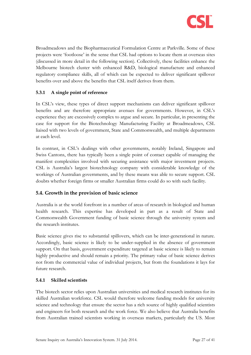

Broadmeadows and the Biopharmaceutical Formulation Centre at Parkville. Some of these projects were 'footloose' in the sense that CSL had options to locate them at overseas sites (discussed in more detail in the following section). Collectively, these facilities enhance the Melbourne biotech cluster with enhanced R&D, biological manufacture and enhanced regulatory compliance skills, all of which can be expected to deliver significant spillover benefits over and above the benefits that CSL itself derives from them.

## **5.3.1 A single point of reference**

In CSL's view, these types of direct support mechanisms can deliver significant spillover benefits and are therefore appropriate avenues for governments. However, in CSL's experience they are excessively complex to argue and secure. In particular, in presenting the case for support for the Biotechnology Manufacturing Facility at Broadmeadows, CSL liaised with two levels of government, State and Commonwealth, and multiple departments at each level.

In contrast, in CSL's dealings with other governments, notably Ireland, Singapore and Swiss Cantons, there has typically been a single point of contact capable of managing the manifest complexities involved with securing assistance with major investment projects. CSL is Australia's largest biotechnology company with considerable knowledge of the workings of Australian governments, and by these means was able to secure support. CSL doubts whether foreign firms or smaller Australian firms could do so with such facility.

## <span id="page-26-0"></span>**5.4. Growth in the provision of basic science**

Australia is at the world forefront in a number of areas of research in biological and human health research. This expertise has developed in part as a result of State and Commonwealth Government funding of basic science through the university system and the research institutes.

Basic science gives rise to substantial spillovers, which can be inter-generational in nature. Accordingly, basic science is likely to be under-supplied in the absence of government support. On that basis, government expenditure targeted at basic science is likely to remain highly productive and should remain a priority. The primary value of basic science derives not from the commercial value of individual projects, but from the foundations it lays for future research.

#### **5.4.1 Skilled scientists**

The biotech sector relies upon Australian universities and medical research institutes for its skilled Australian workforce. CSL would therefore welcome funding models for university science and technology that ensure the sector has a rich source of highly qualified scientists and engineers for both research and the work force. We also believe that Australia benefits from Australian trained scientists working in overseas markets, particularly the US. Most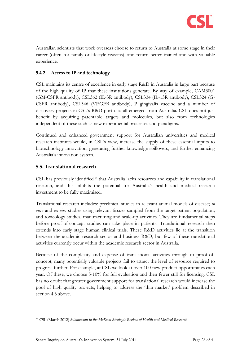

Australian scientists that work overseas choose to return to Australia at some stage in their career (often for family or lifestyle reasons), and return better trained and with valuable experience.

### **5.4.2 Access to IP and technology**

CSL maintains its centre of excellence in early stage R&D in Australia in large part because of the high quality of IP that these institutions generate. By way of example, CAM3001 (GM-CSFR antibody), CSL362 (IL-3R antibody), CSL334 (IL-13R antibody), CSL324 (G-CSFR antibody), CSL346 (VEGFB antibody), P gingivalis vaccine and a number of discovery projects in CSL's R&D portfolio all emerged from Australia. CSL does not just benefit by acquiring patentable targets and molecules, but also from technologies independent of these such as new experimental processes and paradigms.

Continued and enhanced government support for Australian universities and medical research institutes would, in CSL's view, increase the supply of these essential inputs to biotechnology innovation, generating further knowledge spillovers, and further enhancing Australia's innovation system.

## <span id="page-27-0"></span>**5.5. Translational research**

CSL has previously identified<sup>38</sup> that Australia lacks resources and capability in translational research, and this inhibits the potential for Australia's health and medical research investment to be fully maximised.

Translational research includes: preclinical studies in relevant animal models of disease; *in vitro* and *ex vivo* studies using relevant tissues sampled from the target patient population; and toxicology studies, manufacturing and scale-up activities. They are fundamental steps before proof-of-concept studies can take place in patients. Translational research then extends into early stage human clinical trials. These R&D activities lie at the transition between the academic research sector and business R&D, but few of these translational activities currently occur within the academic research sector in Australia.

Because of the complexity and expense of translational activities through to proof-ofconcept, many potentially valuable projects fail to attract the level of resource required to progress further. For example, at CSL we look at over 100 new product opportunities each year. Of these, we choose 5-10% for full evaluation and then fewer still for licensing. CSL has no doubt that greater government support for translational research would increase the pool of high quality projects, helping to address the 'thin market' problem described in section [4.3 above.](#page-22-0)

<sup>38</sup> CSL (March 2012) *Submission to the McKeon Strategic Review of Health and Medical Research*.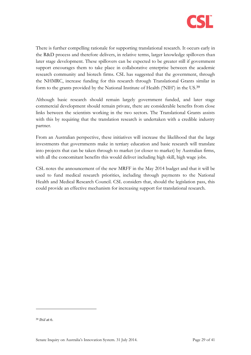

There is further compelling rationale for supporting translational research. It occurs early in the R&D process and therefore delivers, in relative terms, larger knowledge spillovers than later stage development. These spillovers can be expected to be greater still if government support encourages them to take place in collaborative enterprise between the academic research community and biotech firms. CSL has suggested that the government, through the NHMRC, increase funding for this research through Translational Grants similar in form to the grants provided by the National Institute of Health ('NIH') in the US.<sup>39</sup>

Although basic research should remain largely government funded, and later stage commercial development should remain private, there are considerable benefits from close links between the scientists working in the two sectors. The Translational Grants assists with this by requiring that the translation research is undertaken with a credible industry partner.

From an Australian perspective, these initiatives will increase the likelihood that the large investments that governments make in tertiary education and basic research will translate into projects that can be taken through to market (or closer to market) by Australian firms, with all the concomitant benefits this would deliver including high skill, high wage jobs.

CSL notes the announcement of the new MRFF in the May 2014 budget and that it will be used to fund medical research priorities, including through payments to the National Health and Medical Research Council. CSL considers that, should the legislation pass, this could provide an effective mechanism for increasing support for translational research.

<sup>39</sup> *Ibid* at 6.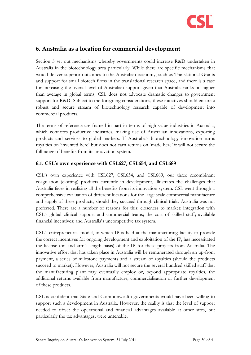

## <span id="page-29-0"></span>**6. Australia as a location for commercial development**

Section [5](#page-24-0) set out mechanisms whereby governments could increase R&D undertaken in Australia in the biotechnology area particularly. While there are specific mechanisms that would deliver superior outcomes to the Australian economy, such as Translational Grants and support for small biotech firms in the translational research space, and there is a case for increasing the overall level of Australian support given that Australia ranks no higher than average in global terms, CSL does not advocate dramatic changes to government support for R&D. Subject to the foregoing considerations, these initiatives should ensure a robust and secure stream of biotechnology research capable of development into commercial products.

The terms of reference are framed in part in terms of high value industries in Australia, which connotes productive industries, making use of Australian innovations, exporting products and services to global markets. If Australia's biotechnology innovation earns royalties on 'invented here' but does not earn returns on 'made here' it will not secure the full range of benefits from its innovation system.

#### <span id="page-29-1"></span>**6.1. CSL's own experience with CSL627, CSL654, and CSL689**

CSL's own experience with CSL627, CSL654, and CSL689, our three recombinant coagulation (clotting) products currently in development, illustrates the challenges that Australia faces in realising all the benefits from its innovation system. CSL went through a comprehensive evaluation of different locations for the large scale commercial manufacture and supply of these products, should they succeed through clinical trials. Australia was not preferred. There are a number of reasons for this: closeness to market; integration with CSL's global clinical support and commercial teams; the cost of skilled staff; available financial incentives; and Australia's uncompetitive tax system.

CSL's entrepreneurial model, in which IP is held at the manufacturing facility to provide the correct incentives for ongoing development and exploitation of the IP, has necessitated the license (on and arm's length basis) of the IP for these projects from Australia. The innovative effort that has taken place in Australia will be remunerated through an up-front payment, a series of milestone payments and a stream of royalties (should the products succeed to market). However, Australia will not secure the several hundred skilled staff that the manufacturing plant may eventually employ or, beyond appropriate royalties, the additional returns available from manufacture, commercialisation or further development of these products.

CSL is confident that State and Commonwealth governments would have been willing to support such a development in Australia. However, the reality is that the level of support needed to offset the operational and financial advantages available at other sites, but particularly the tax advantages, were untenable.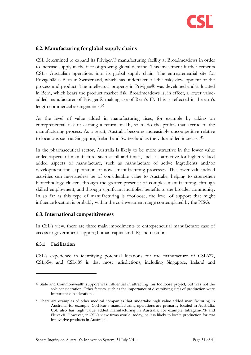

## <span id="page-30-0"></span>**6.2. Manufacturing for global supply chains**

CSL determined to expand its Privigen® manufacturing facility at Broadmeadows in order to increase supply in the face of growing global demand. This investment further cements CSL's Australian operations into its global supply chain. The entrepreneurial site for Privigen® is Bern in Switzerland, which has undertaken all the risky development of the process and product. The intellectual property in Privigen® was developed and is located in Bern, which bears the product market risk. Broadmeadows is, in effect, a lower valueadded manufacturer of Privigen® making use of Bern's IP. This is reflected in the arm's length commercial arrangements.<sup>40</sup>

As the level of value added in manufacturing rises, for example by taking on entrepreneurial risk or earning a return on IP, so to do the profits that accrue to the manufacturing process. As a result, Australia becomes increasingly uncompetitive relative to locations such as Singapore, Ireland and Switzerland as the value added increases. 41

In the pharmaceutical sector, Australia is likely to be more attractive in the lower value added aspects of manufacture, such as fill and finish, and less attractive for higher valued added aspects of manufacture, such as manufacture of active ingredients and/or development and exploitation of novel manufacturing processes. The lower value-added activities can nevertheless be of considerable value to Australia, helping to strengthen biotechnology clusters through the greater presence of complex manufacturing, through skilled employment, and through significant multiplier benefits to the broader community. In so far as this type of manufacturing is footloose, the level of support that might influence location is probably within the co-investment range contemplated by the PISG.

#### <span id="page-30-1"></span>**6.3. International competitiveness**

In CSL's view, there are three main impediments to entrepreneurial manufacture: ease of access to government support; human capital and IR; and taxation.

#### **6.3.1 Facilitation**

-

CSL's experience in identifying potential locations for the manufacture of CSL627, CSL654, and CSL689 is that most jurisdictions, including Singapore, Ireland and

<sup>40</sup> State and Commonwealth support was influential in attracting this footloose project, but was not the sole consideration. Other factors, such as the importance of diversifying sites of production were important considerations.

<sup>&</sup>lt;sup>41</sup> There are examples of other medical companies that undertake high value added manufacturing in Australia, for example, Cochlear's manufacturing operations are primarily located in Australia. CSL also has high value added manufacturing in Australia, for example Intragam-P® and Fluvax®. However, in CSL's view firms would, today, be less likely to locate production for *new* innovative products in Australia.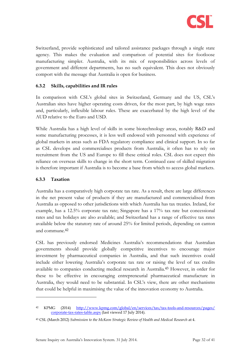

Switzerland, provide sophisticated and tailored assistance packages through a single state agency. This makes the evaluation and comparison of potential sites for footloose manufacturing simpler. Australia, with its mix of responsibilities across levels of government and different departments, has no such equivalent. This does not obviously comport with the message that Australia is open for business.

### **6.3.2 Skills, capabilities and IR rules**

In comparison with CSL's global sites in Switzerland, Germany and the US, CSL's Australian sites have higher operating costs driven, for the most part, by high wage rates and, particularly, inflexible labour rules. These are exacerbated by the high level of the AUD relative to the Euro and USD.

While Australia has a high level of skills in some biotechnology areas, notably R&D and some manufacturing processes, it is less well endowed with personnel with experience of global markets in areas such as FDA regulatory compliance and clinical support. In so far as CSL develops and commercialises products from Australia, it often has to rely on recruitment from the US and Europe to fill these critical roles. CSL does not expect this reliance on overseas skills to change in the short term. Continued ease of skilled migration is therefore important if Australia is to become a base from which to access global markets.

#### **6.3.3 Taxation**

-

Australia has a comparatively high corporate tax rate. As a result, there are large differences in the net present value of products if they are manufactured and commercialised from Australia as opposed to other jurisdictions with which Australia has tax treaties. Ireland, for example, has a 12.5% corporate tax rate; Singapore has a 17% tax rate but concessional rates and tax holidays are also available; and Switzerland has a range of effective tax rates available below the statutory rate of around 25% for limited periods, depending on canton and commune.<sup>42</sup>

CSL has previously endorsed Medicines Australia's recommendations that Australian governments should provide globally competitive incentives to encourage major investment by pharmaceutical companies in Australia, and that such incentives could include either lowering Australia's corporate tax rate or raising the level of tax credits available to companies conducting medical research in Australia.<sup>43</sup> However, in order for these to be effective in encouraging entrepreneurial pharmaceutical manufacture in Australia, they would need to be substantial. In CSL's view, there are other mechanisms that could be helpful in maximising the value of the innovation economy to Australia.

<sup>42</sup> KPMG (2014) [http://www.kpmg.com/global/en/services/tax/tax-tools-and-resources/pages/](http://www.kpmg.com/global/en/services/tax/tax-tools-and-resources/pages/%20corporate-tax-rates-table.aspx)  [corporate-tax-rates-table.aspx](http://www.kpmg.com/global/en/services/tax/tax-tools-and-resources/pages/%20corporate-tax-rates-table.aspx) (last viewed 17 July 2014).

<sup>43</sup> CSL (March 2012) *Submission to the McKeon Strategic Review of Health and Medical Research* at 4.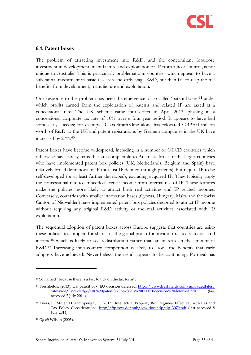

#### <span id="page-32-0"></span>**6.4. Patent boxes**

The problem of attracting investment into R&D, and the concomitant footloose investment in development, manufacture and exploitation of IP from a host country, is not unique to Australia. This is particularly problematic in countries which appear to have a substantial investment in basic research and early stage R&D, but then fail to reap the full benefits from development, manufacture and exploitation.

One response to this problem has been the emergence of so-called 'patent boxes' <sup>44</sup> under which profits earned from the exploitation of patents and related IP are taxed at a concessional rate. The UK scheme came into effect in April 2013, phasing in a concessional corporate tax rate of 10% over a four year period. It appears to have had some early success; for example, GlaxoSmithKline alone has relocated GBP700 million worth of R&D to the UK and patent registrations by German companies in the UK have increased by 27%.<sup>45</sup>

Patent boxes have become widespread, including in a number of OECD countries which otherwise have tax systems that are comparable to Australia. Most of the larger countries who have implemented patent box policies (UK, Netherlands, Belgium and Spain) have relatively broad definitions of IP (not just IP defined through patents), but require IP to be self-developed (or at least further developed), excluding acquired IP. They typically apply the concessional rate to embedded licence income from internal use of IP. These features make the policies more likely to attract both real activities and IP related incomes. Conversely, countries with smaller innovation bases (Cyprus, Hungary, Malta and the Swiss Canton of Nidwalden) have implemented patent box policies designed to attract IP income without requiring any original R&D activity or the real activities associated with IP exploitation.

The sequential adoption of patent boxes across Europe suggests that countries are using these policies to compete for shares of the global pool of innovation-related activities and income<sup>46</sup> which is likely to see redistribution rather than an increase in the amount of R&D.<sup>47</sup> Increasing inter-country competition is likely to erode the benefits that early adopters have achieved. Nevertheless, the trend appears to be continuing; Portugal has

<sup>44</sup> So named "because there is a box to tick on the tax form".

<sup>&</sup>lt;sup>45</sup> Freshfields. (2013). UK patent box: EU decision deferred. <u>http://www.freshfields.com/uploadedFiles/</u> <u>[SiteWide/Knowledge/UK%20patent%20box%20-%20EU%20decision%20deferred.pdf](http://www.freshfields.com/uploadedFiles/%20SiteWide/Knowledge/UK%20patent%20box%20-%20EU%20decision%20deferred.pdf)</u> (last accessed 7 July 2014).

<sup>46</sup> Evers, L., Miller, H. and Spengal, C. (2013). Intellectual Property Box Regimes: Effective Tax Rates and Tax Policy Considerations.<http://ftp.zew.de/pub/zew-docs/dp/dp13070.pdf> (last accessed 8 July 2014).

<sup>47</sup> *Op cit* Wilson (2005).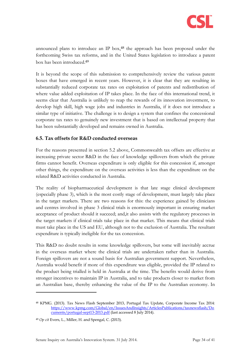

announced plans to introduce an IP box,<sup>48</sup> the approach has been proposed under the forthcoming Swiss tax reforms, and in the United States legislation to introduce a patent box has been introduced.<sup>49</sup>

It is beyond the scope of this submission to comprehensively review the various patent boxes that have emerged in recent years. However, it is clear that they are resulting in substantially reduced corporate tax rates on exploitation of patents and redistribution of where value added exploitation of IP takes place. In the face of this international trend, it seems clear that Australia is unlikely to reap the rewards of its innovation investment, to develop high skill, high wage jobs and industries in Australia, if it does not introduce a similar type of initiative. The challenge is to design a system that confines the concessional corporate tax rates to genuinely new investment that is based on intellectual property that has been substantially developed and remains owned in Australia.

#### <span id="page-33-0"></span>**6.5. Tax offsets for R&D conducted overseas**

For the reasons presented in section [5.2 above,](#page-24-2) Commonwealth tax offsets are effective at increasing private sector R&D in the face of knowledge spillovers from which the private firms cannot benefit. Overseas expenditure is only eligible for this concession if, amongst other things, the expenditure on the overseas activities is less than the expenditure on the related R&D activities conducted in Australia.

The reality of biopharmaceutical development is that late stage clinical development (especially phase 3), which is the most costly stage of development, must largely take place in the target markets. There are two reasons for this: the experience gained by clinicians and centres involved in phase 3 clinical trials is enormously important in ensuring market acceptance of product should it succeed; and,it also assists with the regulatory processes in the target markets if clinical trials take place in that market. This means that clinical trials must take place in the US and EU, although not to the exclusion of Australia. The resultant expenditure is typically ineligible for the tax concession.

This R&D no doubt results in some knowledge spillovers, but some will inevitably accrue in the overseas market where the clinical trials are undertaken rather than in Australia. Foreign spillovers are not a sound basis for Australian government support. Nevertheless, Australia would benefit if more of this expenditure was eligible, provided the IP related to the product being trialled is held in Australia at the time. The benefits would derive from stronger incentives to maintain IP in Australia, and to take products closer to market from an Australian base, thereby enhancing the value of the IP to the Australian economy. In

<sup>48</sup> KPMG. (2013). Tax News Flash September 2013, Portugal Tax Update, Corporate Income Tax 2014: [https://www.kpmg.com/Global/en/IssuesAndInsights/ArticlesPublications/taxnewsflash/Do](https://www.kpmg.com/Global/en/IssuesAndInsights/ArticlesPublications/taxnewsflash/Documents/portugal-sept13-2013.pdf) [cuments/portugal-sept13-2013.pdf](https://www.kpmg.com/Global/en/IssuesAndInsights/ArticlesPublications/taxnewsflash/Documents/portugal-sept13-2013.pdf) (last accessed 8 July 2014).

<sup>49</sup> *Op cit* Evers, L., Miller, H. and Spengal, C. (2013).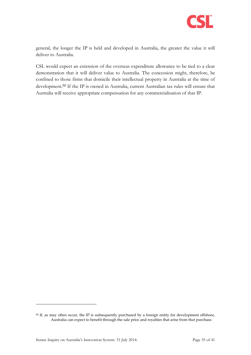

general, the longer the IP is held and developed in Australia, the greater the value it will deliver to Australia.

CSL would expect an extension of the overseas expenditure allowance to be tied to a clear demonstration that it will deliver value to Australia. The concession might, therefore, be confined to those firms that domicile their intellectual property in Australia at the time of development.<sup>50</sup> If the IP is owned in Australia, current Australian tax rules will ensure that Australia will receive appropriate compensation for any commercialisation of that IP.

<sup>50</sup> If, as may often occur, the IP is subsequently purchased by a foreign entity for development offshore, Australia can expect to benefit through the sale price and royalties that arise from that purchase.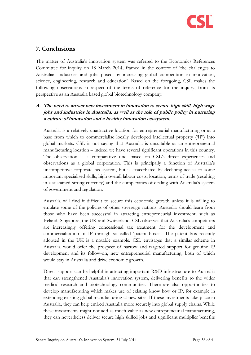

## <span id="page-35-0"></span>**7. Conclusions**

The matter of Australia's innovation system was referred to the Economics References Committee for inquiry on 18 March 2014, framed in the context of 'the challenges to Australian industries and jobs posed by increasing global competition in innovation, science, engineering, research and education'. Based on the foregoing, CSL makes the following observations in respect of the terms of reference for the inquiry, from its perspective as an Australia based global biotechnology company.

## **A. The need to attract new investment in innovation to secure high skill, high wage jobs and industries in Australia, as well as the role of public policy in nurturing a culture of innovation and a healthy innovation ecosystem.**

Australia is a relatively unattractive location for entrepreneurial manufacturing or as a base from which to commercialise locally developed intellectual property ('IP') into global markets. CSL is not saying that Australia is unsuitable as an entrepreneurial manufacturing location – indeed we have several significant operations in this country. The observation is a comparative one, based on CSL's direct experiences and observations as a global corporation. This is principally a function of Australia's uncompetitive corporate tax system, but is exacerbated by declining access to some important specialised skills, high overall labour costs, location, terms of trade (resulting in a sustained strong currency) and the complexities of dealing with Australia's system of government and regulation.

Australia will find it difficult to secure this economic growth unless it is willing to emulate some of the policies of other sovereign nations. Australia should learn from those who have been successful in attracting entrepreneurial investment, such as Ireland, Singapore, the UK and Switzerland. CSL observes that Australia's competitors are increasingly offering concessional tax treatment for the development and commercialisation of IP through so called 'patent boxes'. The patent box recently adopted in the UK is a notable example. CSL envisages that a similar scheme in Australia would offer the prospect of narrow and targeted support for genuine IP development and its follow-on, new entrepreneurial manufacturing, both of which would stay in Australia and drive economic growth.

Direct support can be helpful in attracting important R&D infrastructure to Australia that can strengthened Australia's innovation system, delivering benefits to the wider medical research and biotechnology communities. There are also opportunities to develop manufacturing which makes use of existing know how or IP, for example in extending existing global manufacturing at new sites. If these investments take place in Australia, they can help embed Australia more securely into global supply chains. While these investments might not add as much value as new entrepreneurial manufacturing, they can nevertheless deliver secure high skilled jobs and significant multiplier benefits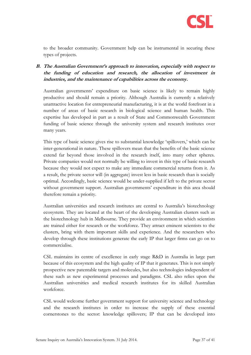

to the broader community. Government help can be instrumental in securing these types of projects.

## **B. The Australian Government's approach to innovation, especially with respect to the funding of education and research, the allocation of investment in industries, and the maintenance of capabilities across the economy.**

Australian governments' expenditure on basic science is likely to remain highly productive and should remain a priority. Although Australia is currently a relatively unattractive location for entrepreneurial manufacturing, it is at the world forefront in a number of areas of basic research in biological science and human health. This expertise has developed in part as a result of State and Commonwealth Government funding of basic science through the university system and research institutes over many years.

This type of basic science gives rise to substantial knowledge 'spillovers,' which can be inter-generational in nature. These spillovers mean that the benefits of the basic science extend far beyond those involved in the research itself, into many other spheres. Private companies would not normally be willing to invest in this type of basic research because they would not expect to make any immediate commercial returns from it. As a result, the private sector will (in aggregate) invest less in basic research than is socially optimal. Accordingly, basic science would be under-supplied if left to the private sector without government support. Australian governments' expenditure in this area should therefore remain a priority.

Australian universities and research institutes are central to Australia's biotechnology ecosystem. They are located at the heart of the developing Australian clusters such as the biotechnology hub in Melbourne. They provide an environment in which scientists are trained either for research or the workforce. They attract eminent scientists to the clusters, bring with them important skills and experience. And the researchers who develop through these institutions generate the early IP that larger firms can go on to commercialise.

CSL maintains its centre of excellence in early stage R&D in Australia in large part because of this ecosystem and the high quality of IP that it generates. This is not simply prospective new patentable targets and molecules, but also technologies independent of these such as new experimental processes and paradigms. CSL also relies upon the Australian universities and medical research institutes for its skilled Australian workforce.

CSL would welcome further government support for university science and technology and the research institutes in order to increase the supply of these essential cornerstones to the sector: knowledge spillovers; IP that can be developed into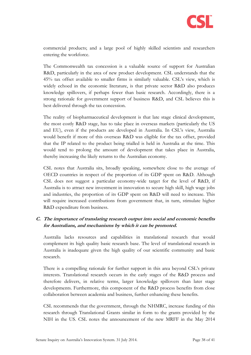

commercial products; and a large pool of highly skilled scientists and researchers entering the workforce.

The Commonwealth tax concession is a valuable source of support for Australian R&D, particularly in the area of new product development. CSL understands that the 45% tax offset available to smaller firms is similarly valuable. CSL's view, which is widely echoed in the economic literature, is that private sector R&D also produces knowledge spillovers, if perhaps fewer than basic research. Accordingly, there is a strong rationale for government support of business R&D, and CSL believes this is best delivered through the tax concession.

The reality of biopharmaceutical development is that late stage clinical development, the most costly R&D stage, has to take place in overseas markets (particularly the US and EU), even if the products are developed in Australia. In CSL's view, Australia would benefit if more of this overseas R&D was eligible for the tax offset, provided that the IP related to the product being trialled is held in Australia at the time. This would tend to prolong the amount of development that takes place in Australia, thereby increasing the likely returns to the Australian economy.

CSL notes that Australia sits, broadly speaking, somewhere close to the average of OECD countries in respect of the proportion of its GDP spent on R&D. Although CSL does not suggest a particular economy-wide target for the level of R&D, if Australia is to attract new investment in innovation to secure high skill, high wage jobs and industries, the proportion of its GDP spent on R&D will need to increase. This will require increased contributions from government that, in turn, stimulate higher R&D expenditure from business.

## **C. The importance of translating research output into social and economic benefits for Australians, and mechanisms by which it can be promoted.**

Australia lacks resources and capabilities in translational research that would complement its high quality basic research base. The level of translational research in Australia is inadequate given the high quality of our scientific community and basic research.

There is a compelling rationale for further support in this area beyond CSL's private interests. Translational research occurs in the early stages of the R&D process and therefore delivers, in relative terms, larger knowledge spillovers than later stage developments. Furthermore, this component of the R&D process benefits from close collaboration between academia and business, further enhancing these benefits.

CSL recommends that the government, through the NHMRC, increase funding of this research through Translational Grants similar in form to the grants provided by the NIH in the US. CSL notes the announcement of the new MRFF in the May 2014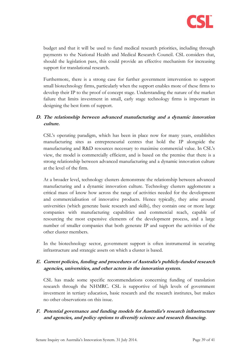

budget and that it will be used to fund medical research priorities, including through payments to the National Health and Medical Research Council. CSL considers that, should the legislation pass, this could provide an effective mechanism for increasing support for translational research.

Furthermore, there is a strong case for further government intervention to support small biotechnology firms, particularly when the support enables more of these firms to develop their IP to the proof of concept stage. Understanding the nature of the market failure that limits investment in small, early stage technology firms is important in designing the best form of support.

## **D. The relationship between advanced manufacturing and a dynamic innovation culture.**

CSL's operating paradigm, which has been in place now for many years, establishes manufacturing sites as entrepreneurial centres that hold the IP alongside the manufacturing and R&D resources necessary to maximise commercial value. In CSL's view, the model is commercially efficient, and is based on the premise that there is a strong relationship between advanced manufacturing and a dynamic innovation culture at the level of the firm.

At a broader level, technology clusters demonstrate the relationship between advanced manufacturing and a dynamic innovation culture. Technology clusters agglomerate a critical mass of know how across the range of activities needed for the development and commercialisation of innovative products. Hence typically, they arise around universities (which generate basic research and skills), they contain one or more large companies with manufacturing capabilities and commercial reach, capable of resourcing the most expensive elements of the development process, and a large number of smaller companies that both generate IP and support the activities of the other cluster members.

In the biotechnology sector, government support is often instrumental in securing infrastructure and strategic assets on which a cluster is based.

## **E. Current policies, funding and procedures of Australia's publicly-funded research agencies, universities, and other actors in the innovation system.**

CSL has made some specific recommendations concerning funding of translation research through the NHMRC. CSL is supportive of high levels of government investment in tertiary education, basic research and the research institutes, but makes no other observations on this issue.

## **F. Potential governance and funding models for Australia's research infrastructure and agencies, and policy options to diversify science and research financing.**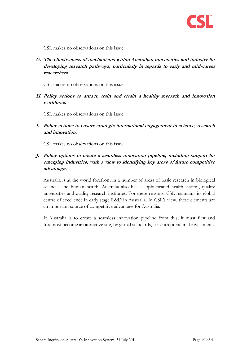

CSL makes no observations on this issue.

**G. The effectiveness of mechanisms within Australian universities and industry for developing research pathways, particularly in regards to early and mid-career researchers.**

CSL makes no observations on this issue.

**H. Policy actions to attract, train and retain a healthy research and innovation workforce.**

CSL makes no observations on this issue.

**I. Policy actions to ensure strategic international engagement in science, research and innovation.**

CSL makes no observations on this issue.

**J. Policy options to create a seamless innovation pipeline, including support for emerging industries, with a view to identifying key areas of future competitive advantage.**

Australia is at the world forefront in a number of areas of basic research in biological sciences and human health. Australia also has a sophisticated health system, quality universities and quality research institutes. For these reasons, CSL maintains its global centre of excellence in early stage R&D in Australia. In CSL's view, these elements are an important source of competitive advantage for Australia.

If Australia is to create a seamless innovation pipeline from this, it must first and foremost become an attractive site, by global standards, for entrepreneurial investment.